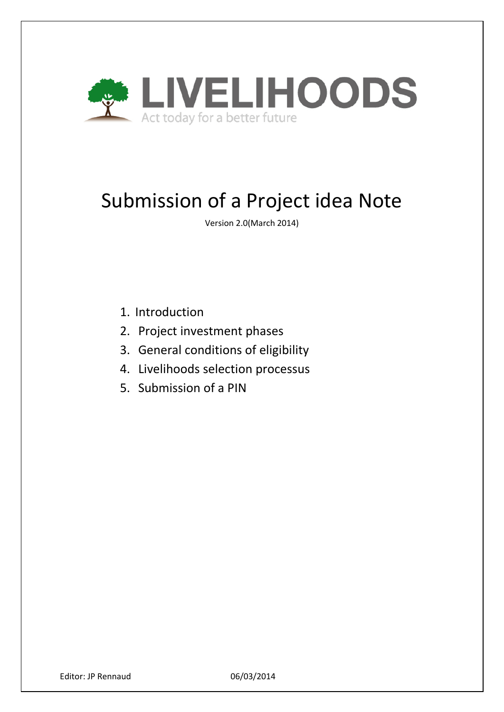

# Submission of a Project idea Note

Version 2.0(March 2014)

- 1. Introduction
- 2. Project investment phases
- 3. General conditions of eligibility
- 4. Livelihoods selection processus
- 5. Submission of a PIN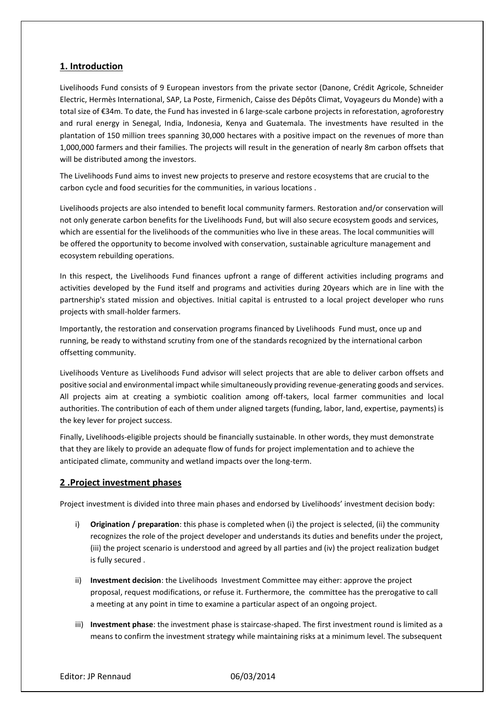# **1. Introduction**

Livelihoods Fund consists of 9 European investors from the private sector (Danone, Crédit Agricole, Schneider Electric, Hermès International, SAP, La Poste, Firmenich, Caisse des Dépôts Climat, Voyageurs du Monde) with a total size of €34m. To date, the Fund has invested in 6 large-scale carbone projects in reforestation, agroforestry and rural energy in Senegal, India, Indonesia, Kenya and Guatemala. The investments have resulted in the plantation of 150 million trees spanning 30,000 hectares with a positive impact on the revenues of more than 1,000,000 farmers and their families. The projects will result in the generation of nearly 8m carbon offsets that will be distributed among the investors.

The Livelihoods Fund aims to invest new projects to preserve and restore ecosystems that are crucial to the carbon cycle and food securities for the communities, in various locations .

Livelihoods projects are also intended to benefit local community farmers. Restoration and/or conservation will not only generate carbon benefits for the Livelihoods Fund, but will also secure ecosystem goods and services, which are essential for the livelihoods of the communities who live in these areas. The local communities will be offered the opportunity to become involved with conservation, sustainable agriculture management and ecosystem rebuilding operations.

In this respect, the Livelihoods Fund finances upfront a range of different activities including programs and activities developed by the Fund itself and programs and activities during 20years which are in line with the partnership's stated mission and objectives. Initial capital is entrusted to a local project developer who runs projects with small-holder farmers.

Importantly, the restoration and conservation programs financed by Livelihoods Fund must, once up and running, be ready to withstand scrutiny from one of the standards recognized by the international carbon offsetting community.

Livelihoods Venture as Livelihoods Fund advisor will select projects that are able to deliver carbon offsets and positive social and environmental impact while simultaneously providing revenue-generating goods and services. All projects aim at creating a symbiotic coalition among off-takers, local farmer communities and local authorities. The contribution of each of them under aligned targets (funding, labor, land, expertise, payments) is the key lever for project success.

Finally, Livelihoods-eligible projects should be financially sustainable. In other words, they must demonstrate that they are likely to provide an adequate flow of funds for project implementation and to achieve the anticipated climate, community and wetland impacts over the long-term.

# **2 .Project investment phases**

Project investment is divided into three main phases and endorsed by Livelihoods' investment decision body:

- i) **Origination / preparation**: this phase is completed when (i) the project is selected, (ii) the community recognizes the role of the project developer and understands its duties and benefits under the project, (iii) the project scenario is understood and agreed by all parties and (iv) the project realization budget is fully secured .
- ii) **Investment decision**: the Livelihoods Investment Committee may either: approve the project proposal, request modifications, or refuse it. Furthermore, the committee has the prerogative to call a meeting at any point in time to examine a particular aspect of an ongoing project.
- iii) **Investment phase**: the investment phase is staircase-shaped. The first investment round is limited as a means to confirm the investment strategy while maintaining risks at a minimum level. The subsequent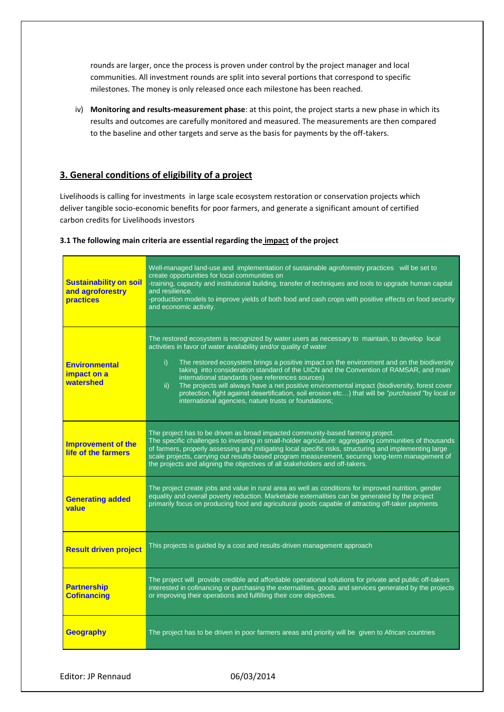rounds are larger, once the process is proven under control by the project manager and local communities. All investment rounds are split into several portions that correspond to specific milestones. The money is only released once each milestone has been reached.

iv) **Monitoring and results-measurement phase**: at this point, the project starts a new phase in which its results and outcomes are carefully monitored and measured. The measurements are then compared to the baseline and other targets and serve as the basis for payments by the off-takers.

# **3. General conditions of eligibility of a project**

Livelihoods is calling for investments in large scale ecosystem restoration or conservation projects which deliver tangible socio-economic benefits for poor farmers, and generate a significant amount of certified carbon credits for Livelihoods investors

### **3.1 The following main criteria are essential regarding the impact of the project**

| <b>Sustainability on soil</b><br>and agroforestry<br><b>practices</b> | Well-managed land-use and implementation of sustainable agroforestry practices will be set to<br>create opportunities for local communities on<br>-training, capacity and institutional building, transfer of techniques and tools to upgrade human capital<br>and resilience.<br>-production models to improve yields of both food and cash crops with positive effects on food security<br>and economic activity.                                                                                                                                                                                                                                                                        |
|-----------------------------------------------------------------------|--------------------------------------------------------------------------------------------------------------------------------------------------------------------------------------------------------------------------------------------------------------------------------------------------------------------------------------------------------------------------------------------------------------------------------------------------------------------------------------------------------------------------------------------------------------------------------------------------------------------------------------------------------------------------------------------|
| <b>Environmental</b><br>impact on a<br>watershed                      | The restored ecosystem is recognized by water users as necessary to maintain, to develop local<br>activities in favor of water availability and/or quality of water<br>The restored ecosystem brings a positive impact on the environment and on the biodiversity<br>i)<br>taking into consideration standard of the UICN and the Convention of RAMSAR, and main<br>international standards (see references sources)<br>The projects will always have a net positive environmental impact (biodiversity, forest cover<br>ii)<br>protection, fight against desertification, soil erosion etc) that will be "purchased "by local or<br>international agencies, nature trusts or foundations; |
| <b>Improvement of the</b><br>life of the farmers                      | The project has to be driven as broad impacted community-based farming project.<br>The specific challenges to investing in small-holder agriculture: aggregating communities of thousands<br>of farmers, properly assessing and mitigating local specific risks, structuring and implementing large<br>scale projects, carrying out results-based program measurement, securing long-term management of<br>the projects and aligning the objectives of all stakeholders and off-takers.                                                                                                                                                                                                    |
| <b>Generating added</b><br>value                                      | The project create jobs and value in rural area as well as conditions for improved nutrition, gender<br>equality and overall poverty reduction. Marketable externalities can be generated by the project<br>primarily focus on producing food and agricultural goods capable of attracting off-taker payments                                                                                                                                                                                                                                                                                                                                                                              |
| <b>Result driven project</b>                                          | This projects is guided by a cost and results-driven management approach                                                                                                                                                                                                                                                                                                                                                                                                                                                                                                                                                                                                                   |
| <b>Partnership</b><br><b>Cofinancing</b>                              | The project will provide credible and affordable operational solutions for private and public off-takers<br>interested in cofinancing or purchasing the externalities, goods and services generated by the projects<br>or improving their operations and fulfilling their core objectives.                                                                                                                                                                                                                                                                                                                                                                                                 |
| <b>Geography</b>                                                      | The project has to be driven in poor farmers areas and priority will be given to African countries                                                                                                                                                                                                                                                                                                                                                                                                                                                                                                                                                                                         |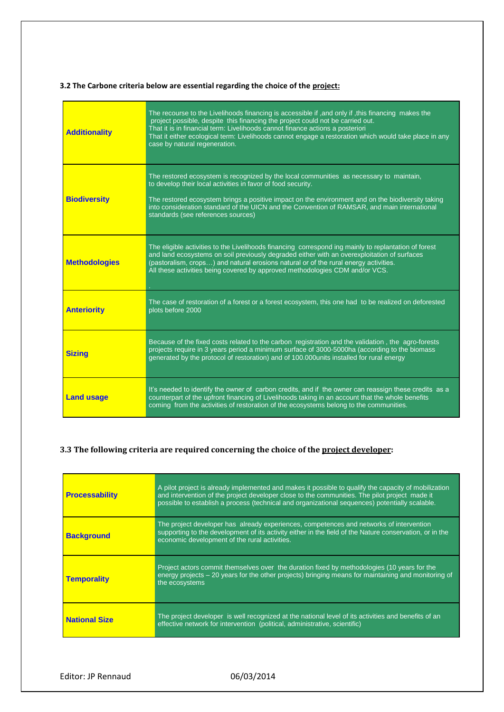# **3.2 The Carbone criteria below are essential regarding the choice of the project:**

| <b>Additionality</b> | The recourse to the Livelihoods financing is accessible if, and only if, this financing makes the<br>project possible, despite this financing the project could not be carried out.<br>That it is in financial term: Livelihoods cannot finance actions a posteriori<br>That it either ecological term: Livelihoods cannot engage a restoration which would take place in any<br>case by natural regeneration. |
|----------------------|----------------------------------------------------------------------------------------------------------------------------------------------------------------------------------------------------------------------------------------------------------------------------------------------------------------------------------------------------------------------------------------------------------------|
| <b>Biodiversity</b>  | The restored ecosystem is recognized by the local communities as necessary to maintain,<br>to develop their local activities in favor of food security.<br>The restored ecosystem brings a positive impact on the environment and on the biodiversity taking<br>into consideration standard of the UICN and the Convention of RAMSAR, and main international<br>standards (see references sources)             |
| <b>Methodologies</b> | The eligible activities to the Livelihoods financing correspond ing mainly to replantation of forest<br>and land ecosystems on soil previously degraded either with an overexploitation of surfaces<br>(pastoralism, crops) and natural erosions natural or of the rural energy activities.<br>All these activities being covered by approved methodologies CDM and/or VCS.                                    |
| <b>Anteriority</b>   | The case of restoration of a forest or a forest ecosystem, this one had to be realized on deforested<br>plots before 2000                                                                                                                                                                                                                                                                                      |
| <b>Sizing</b>        | Because of the fixed costs related to the carbon registration and the validation, the agro-forests<br>projects require in 3 years period a minimum surface of 3000-5000ha (according to the biomass<br>generated by the protocol of restoration) and of 100.000 units installed for rural energy                                                                                                               |
| <b>Land usage</b>    | It's needed to identify the owner of carbon credits, and if the owner can reassign these credits as a<br>counterpart of the upfront financing of Livelihoods taking in an account that the whole benefits<br>coming from the activities of restoration of the ecosystems belong to the communities.                                                                                                            |

# **3.3 The following criteria are required concerning the choice of the project developer:**

| <b>Processability</b> | A pilot project is already implemented and makes it possible to qualify the capacity of mobilization<br>and intervention of the project developer close to the communities. The pilot project made it<br>possible to establish a process (technical and organizational sequences) potentially scalable. |
|-----------------------|---------------------------------------------------------------------------------------------------------------------------------------------------------------------------------------------------------------------------------------------------------------------------------------------------------|
| <b>Background</b>     | The project developer has already experiences, competences and networks of intervention<br>supporting to the development of its activity either in the field of the Nature conservation, or in the<br>economic development of the rural activities.                                                     |
| <b>Temporality</b>    | Project actors commit themselves over the duration fixed by methodologies (10 years for the<br>energy projects - 20 years for the other projects) bringing means for maintaining and monitoring of<br>the ecosystems                                                                                    |
| <b>National Size</b>  | The project developer is well recognized at the national level of its activities and benefits of an<br>effective network for intervention (political, administrative, scientific)                                                                                                                       |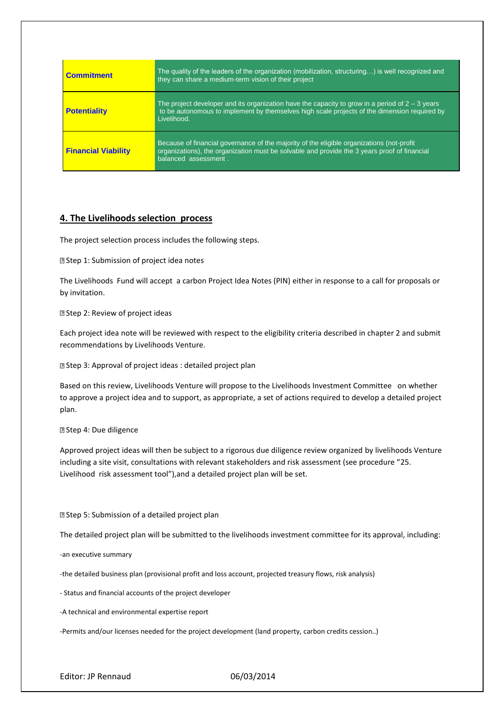| <b>Commitment</b>          | The quality of the leaders of the organization (mobilization, structuring) is well recognized and<br>they can share a medium-term vision of their project                                                         |
|----------------------------|-------------------------------------------------------------------------------------------------------------------------------------------------------------------------------------------------------------------|
| <b>Potentiality</b>        | The project developer and its organization have the capacity to grow in a period of $2 - 3$ years<br>to be autonomous to implement by themselves high scale projects of the dimension required by<br>Livelihood.  |
| <b>Financial Viability</b> | Because of financial governance of the majority of the eligible organizations (not-profit<br>organizations), the organization must be solvable and provide the 3 years proof of financial<br>balanced assessment. |

# **4. The Livelihoods selection process**

The project selection process includes the following steps.

Step 1: Submission of project idea notes

The Livelihoods Fund will accept a carbon Project Idea Notes (PIN) either in response to a call for proposals or by invitation.

**E** Step 2: Review of project ideas

Each project idea note will be reviewed with respect to the eligibility criteria described in chapter 2 and submit recommendations by Livelihoods Venture.

Step 3: Approval of project ideas : detailed project plan

Based on this review, Livelihoods Venture will propose to the Livelihoods Investment Committee on whether to approve a project idea and to support, as appropriate, a set of actions required to develop a detailed project plan.

Step 4: Due diligence

Approved project ideas will then be subject to a rigorous due diligence review organized by livelihoods Venture including a site visit, consultations with relevant stakeholders and risk assessment (see procedure "25. Livelihood risk assessment tool"),and a detailed project plan will be set.

Step 5: Submission of a detailed project plan

The detailed project plan will be submitted to the livelihoods investment committee for its approval, including:

-an executive summary

-the detailed business plan (provisional profit and loss account, projected treasury flows, risk analysis)

- Status and financial accounts of the project developer

-A technical and environmental expertise report

-Permits and/our licenses needed for the project development (land property, carbon credits cession..)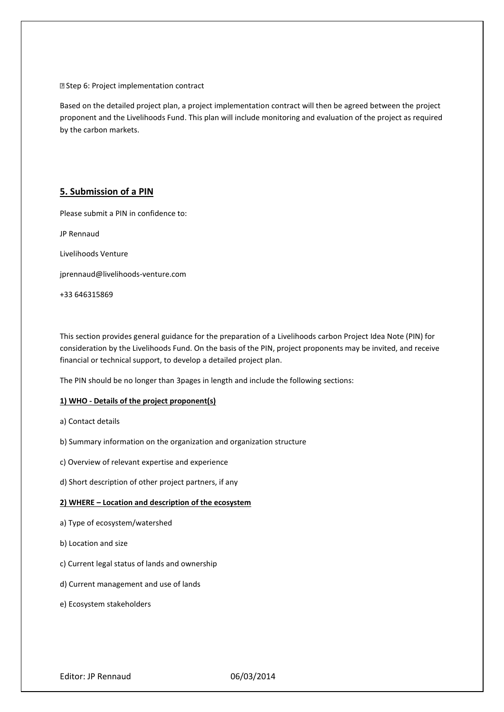Step 6: Project implementation contract

Based on the detailed project plan, a project implementation contract will then be agreed between the project proponent and the Livelihoods Fund. This plan will include monitoring and evaluation of the project as required by the carbon markets.

# **5. Submission of a PIN**

Please submit a PIN in confidence to:

JP Rennaud

Livelihoods Venture

jprennaud@livelihoods-venture.com

+33 646315869

This section provides general guidance for the preparation of a Livelihoods carbon Project Idea Note (PIN) for consideration by the Livelihoods Fund. On the basis of the PIN, project proponents may be invited, and receive financial or technical support, to develop a detailed project plan.

The PIN should be no longer than 3pages in length and include the following sections:

### **1) WHO - Details of the project proponent(s)**

- a) Contact details
- b) Summary information on the organization and organization structure
- c) Overview of relevant expertise and experience
- d) Short description of other project partners, if any

### **2) WHERE – Location and description of the ecosystem**

- a) Type of ecosystem/watershed
- b) Location and size
- c) Current legal status of lands and ownership
- d) Current management and use of lands
- e) Ecosystem stakeholders